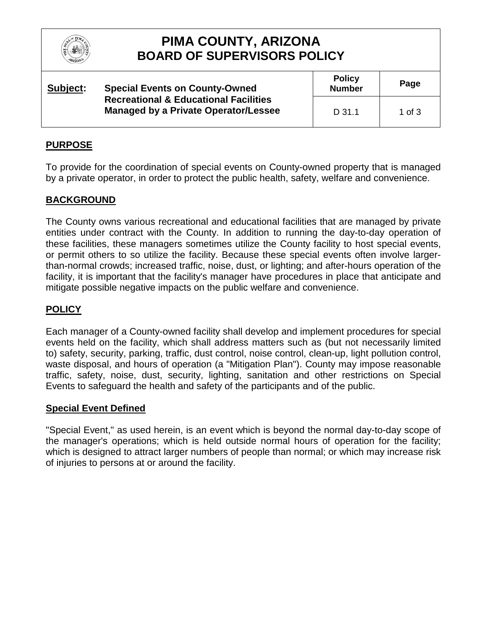

# **PIMA COUNTY, ARIZONA BOARD OF SUPERVISORS POLICY**

| Subject: | <b>Special Events on County-Owned</b><br><b>Recreational &amp; Educational Facilities</b><br>Managed by a Private Operator/Lessee | <b>Policy</b><br><b>Number</b> | Page     |
|----------|-----------------------------------------------------------------------------------------------------------------------------------|--------------------------------|----------|
|          |                                                                                                                                   | $D$ 31.1                       | 1 of $3$ |

### **PURPOSE**

To provide for the coordination of special events on County-owned property that is managed by a private operator, in order to protect the public health, safety, welfare and convenience.

### **BACKGROUND**

The County owns various recreational and educational facilities that are managed by private entities under contract with the County. In addition to running the day-to-day operation of these facilities, these managers sometimes utilize the County facility to host special events, or permit others to so utilize the facility. Because these special events often involve largerthan-normal crowds; increased traffic, noise, dust, or lighting; and after-hours operation of the facility, it is important that the facility's manager have procedures in place that anticipate and mitigate possible negative impacts on the public welfare and convenience.

### **POLICY**

Each manager of a County-owned facility shall develop and implement procedures for special events held on the facility, which shall address matters such as (but not necessarily limited to) safety, security, parking, traffic, dust control, noise control, clean-up, light pollution control, waste disposal, and hours of operation (a "Mitigation Plan"). County may impose reasonable traffic, safety, noise, dust, security, lighting, sanitation and other restrictions on Special Events to safeguard the health and safety of the participants and of the public.

#### **Special Event Defined**

"Special Event," as used herein, is an event which is beyond the normal day-to-day scope of the manager's operations; which is held outside normal hours of operation for the facility; which is designed to attract larger numbers of people than normal; or which may increase risk of injuries to persons at or around the facility.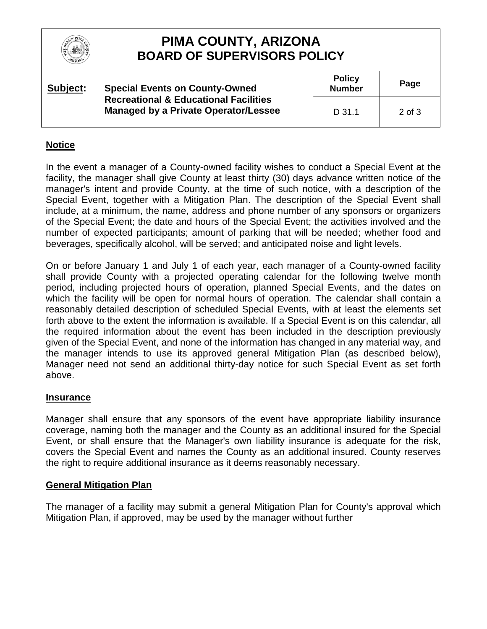

# **PIMA COUNTY, ARIZONA BOARD OF SUPERVISORS POLICY**

| Subject: | <b>Special Events on County-Owned</b><br><b>Recreational &amp; Educational Facilities</b><br>Managed by a Private Operator/Lessee | <b>Policy</b><br><b>Number</b> | Page              |
|----------|-----------------------------------------------------------------------------------------------------------------------------------|--------------------------------|-------------------|
|          |                                                                                                                                   | $D$ 31.1                       | $2 \text{ of } 3$ |

#### **Notice**

In the event a manager of a County-owned facility wishes to conduct a Special Event at the facility, the manager shall give County at least thirty (30) days advance written notice of the manager's intent and provide County, at the time of such notice, with a description of the Special Event, together with a Mitigation Plan. The description of the Special Event shall include, at a minimum, the name, address and phone number of any sponsors or organizers of the Special Event; the date and hours of the Special Event; the activities involved and the number of expected participants; amount of parking that will be needed; whether food and beverages, specifically alcohol, will be served; and anticipated noise and light levels.

On or before January 1 and July 1 of each year, each manager of a County-owned facility shall provide County with a projected operating calendar for the following twelve month period, including projected hours of operation, planned Special Events, and the dates on which the facility will be open for normal hours of operation. The calendar shall contain a reasonably detailed description of scheduled Special Events, with at least the elements set forth above to the extent the information is available. If a Special Event is on this calendar, all the required information about the event has been included in the description previously given of the Special Event, and none of the information has changed in any material way, and the manager intends to use its approved general Mitigation Plan (as described below), Manager need not send an additional thirty-day notice for such Special Event as set forth above.

#### **Insurance**

Manager shall ensure that any sponsors of the event have appropriate liability insurance coverage, naming both the manager and the County as an additional insured for the Special Event, or shall ensure that the Manager's own liability insurance is adequate for the risk, covers the Special Event and names the County as an additional insured. County reserves the right to require additional insurance as it deems reasonably necessary.

#### **General Mitigation Plan**

The manager of a facility may submit a general Mitigation Plan for County's approval which Mitigation Plan, if approved, may be used by the manager without further